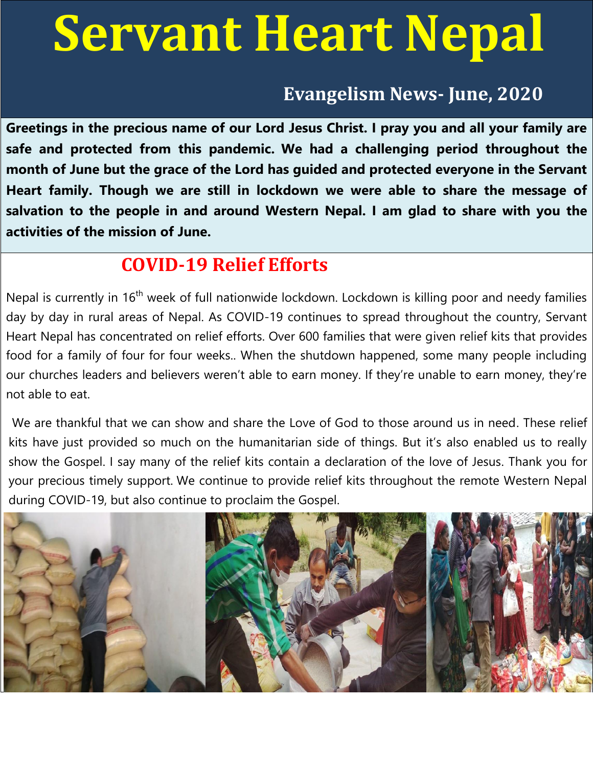# **Servant Heart Nepal**

# **Evangelism News- June, 2020**

**Greetings in the precious name of our Lord Jesus Christ. I pray you and all your family are safe and protected from this pandemic. We had a challenging period throughout the month of June but the grace of the Lord has guided and protected everyone in the Servant Heart family. Though we are still in lockdown we were able to share the message of salvation to the people in and around Western Nepal. I am glad to share with you the activities of the mission of June.** 

# **COVID-19 Relief Efforts**

Nepal is currently in 16<sup>th</sup> week of full nationwide lockdown. Lockdown is killing poor and needy families day by day in rural areas of Nepal. As COVID-19 continues to spread throughout the country, Servant Heart Nepal has concentrated on relief efforts. Over 600 families that were given relief kits that provides food for a family of four for four weeks.. When the shutdown happened, some many people including our churches leaders and believers weren't able to earn money. If they're unable to earn money, they're not able to eat.

 We are thankful that we can show and share the Love of God to those around us in need. These relief kits have just provided so much on the humanitarian side of things. But it's also enabled us to really show the Gospel. I say many of the relief kits contain a declaration of the love of Jesus. Thank you for your precious timely support. We continue to provide relief kits throughout the remote Western Nepal during COVID-19, but also continue to proclaim the Gospel.

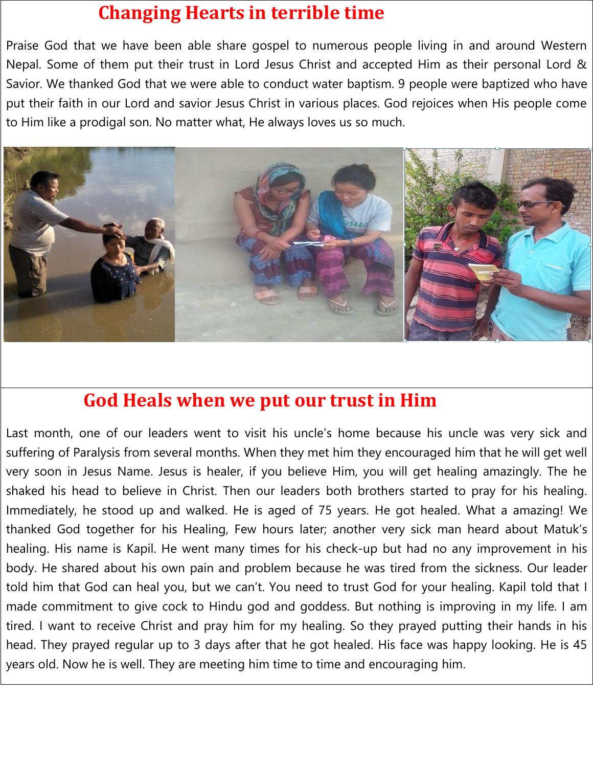# **Changing Hearts in terrible time**

Praise God that we have been able share gospel to numerous people living in and around Western Nepal. Some of them put their trust in Lord Jesus Christ and accepted Him as their personal Lord & Savior. We thanked God that we were able to conduct water baptism. 9 people were baptized who have put their faith in our Lord and savior Jesus Christ in various places. God rejoices when His people come to Him like a prodigal son. No matter what, He always loves us so much.



#### **God Heals when we put our trust in Him**

Last month, one of our leaders went to visit his uncle's home because his uncle was very sick and suffering of Paralysis from several months. When they met him they encouraged him that he will get well very soon in Jesus Name. Jesus is healer, if you believe Him, you will get healing amazingly. The he shaked his head to believe in Christ. Then our leaders both brothers started to pray for his healing. Immediately, he stood up and walked. He is aged of 75 years. He got healed. What a amazing! We thanked God together for his Healing, Few hours later; another very sick man heard about Matuk's healing. His name is Kapil. He went many times for his check-up but had no any improvement in his body. He shared about his own pain and problem because he was tired from the sickness. Our leader told him that God can heal you, but we can't. You need to trust God for your healing. Kapil told that I made commitment to give cock to Hindu god and goddess. But nothing is improving in my life. I am tired. I want to receive Christ and pray him for my healing. So they prayed putting their hands in his head. They prayed regular up to 3 days after that he got healed. His face was happy looking. He is 45 years old. Now he is well. They are meeting him time to time and encouraging him.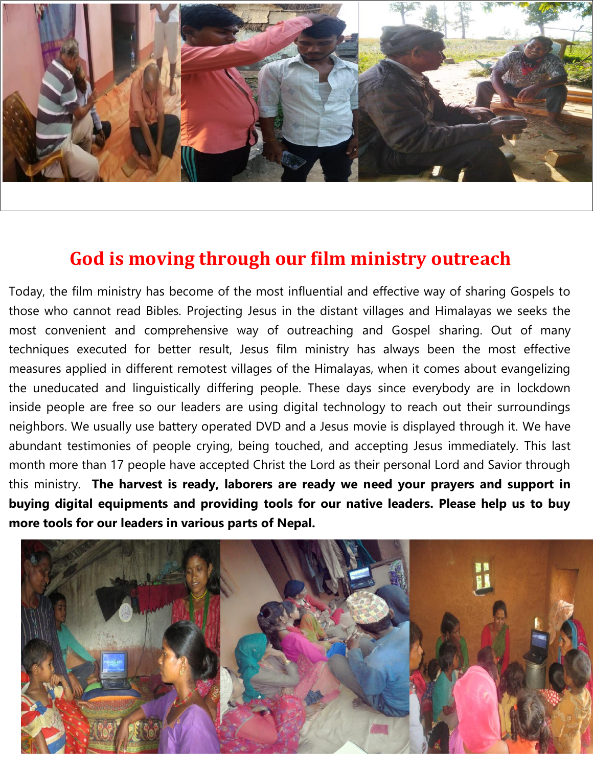

# **God is moving through our film ministry outreach**

Today, the film ministry has become of the most influential and effective way of sharing Gospels to those who cannot read Bibles. Projecting Jesus in the distant villages and Himalayas we seeks the most convenient and comprehensive way of outreaching and Gospel sharing. Out of many techniques executed for better result, Jesus film ministry has always been the most effective measures applied in different remotest villages of the Himalayas, when it comes about evangelizing the uneducated and linguistically differing people. These days since everybody are in lockdown inside people are free so our leaders are using digital technology to reach out their surroundings neighbors. We usually use battery operated DVD and a Jesus movie is displayed through it. We have abundant testimonies of people crying, being touched, and accepting Jesus immediately. This last month more than 17 people have accepted Christ the Lord as their personal Lord and Savior through this ministry. **The harvest is ready, laborers are ready we need your prayers and support in buying digital equipments and providing tools for our native leaders. Please help us to buy more tools for our leaders in various parts of Nepal.**